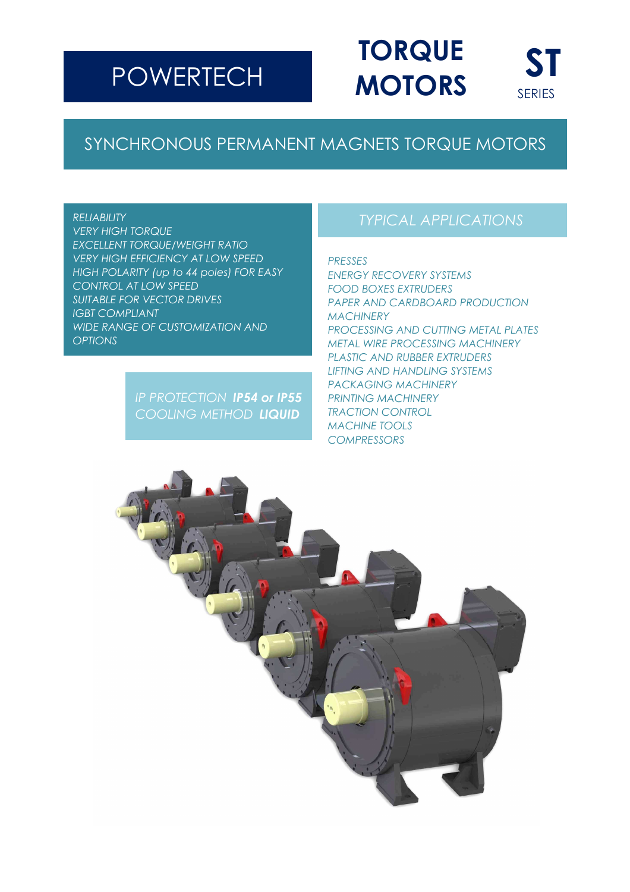# **POWERTECH**

# **ST ST MOTORS**

# SYNCHRONOUS PERMANENT MAGNETS TORQUE MOTORS

#### *RELIABILITY*

*VERY HIGH TORQUE EXCELLENT TORQUE/WEIGHT RATIO VERY HIGH EFFICIENCY AT LOW SPEED HIGH POLARITY (up to 44 poles) FOR EASY CONTROL AT LOW SPEED SUITABLE FOR VECTOR DRIVES IGBT COMPLIANT WIDE RANGE OF CUSTOMIZATION AND OPTIONS*

> *IP PROTECTION IP54 or IP55 COOLING METHOD LIQUID*

### *TYPICAL APPLICATIONS*

**SERIES** 

### *PRESSES*

*ENERGY RECOVERY SYSTEMS FOOD BOXES EXTRUDERS PAPER AND CARDBOARD PRODUCTION MACHINERY PROCESSING AND CUTTING METAL PLATES METAL WIRE PROCESSING MACHINERY PLASTIC AND RUBBER EXTRUDERS LIFTING AND HANDLING SYSTEMS PACKAGING MACHINERY PRINTING MACHINERY TRACTION CONTROL MACHINE TOOLS COMPRESSORS*